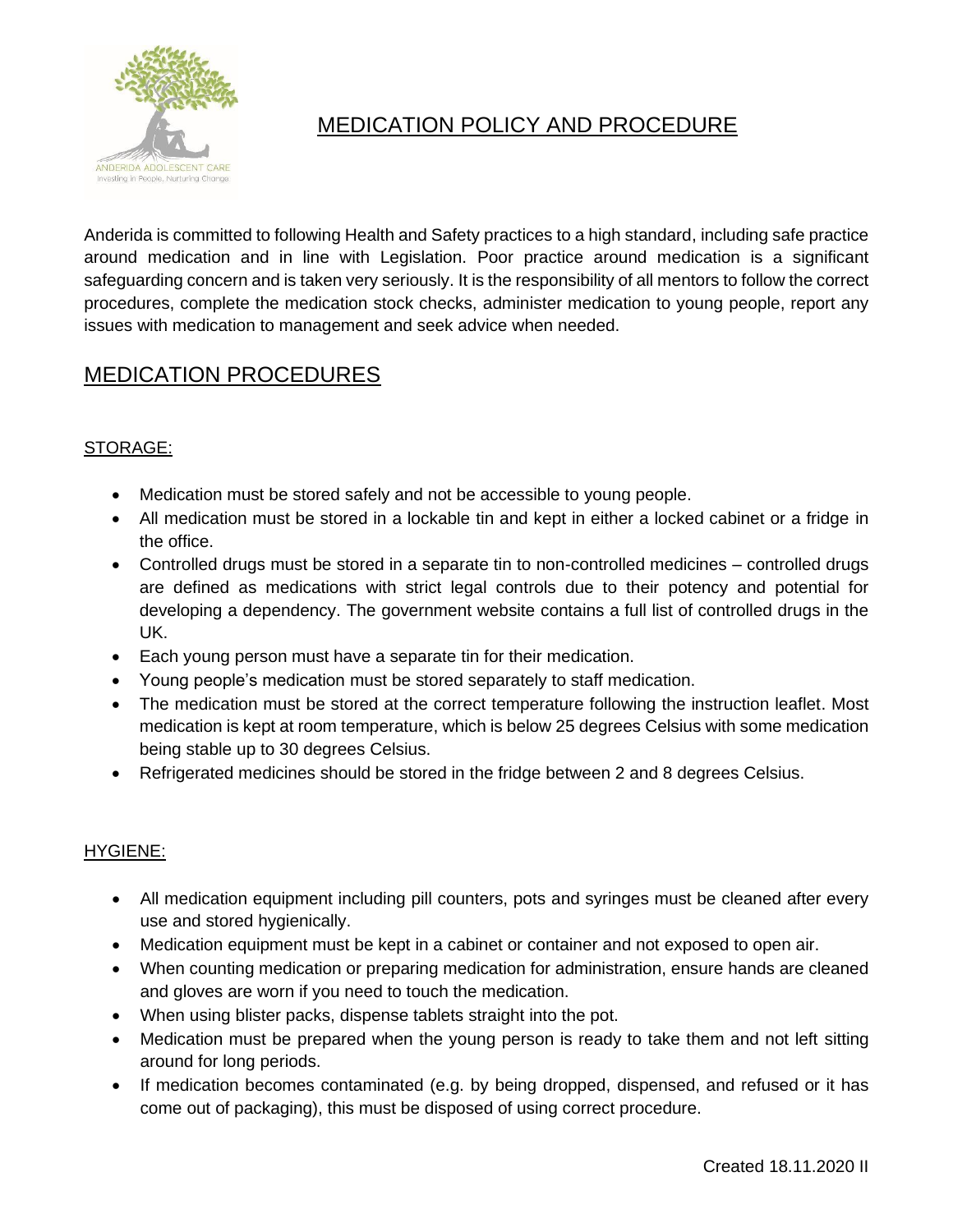

# MEDICATION POLICY AND PROCEDURE

Anderida is committed to following Health and Safety practices to a high standard, including safe practice around medication and in line with Legislation. Poor practice around medication is a significant safeguarding concern and is taken very seriously. It is the responsibility of all mentors to follow the correct procedures, complete the medication stock checks, administer medication to young people, report any issues with medication to management and seek advice when needed.

# MEDICATION PROCEDURES

# STORAGE:

- Medication must be stored safely and not be accessible to young people.
- All medication must be stored in a lockable tin and kept in either a locked cabinet or a fridge in the office.
- Controlled drugs must be stored in a separate tin to non-controlled medicines controlled drugs are defined as medications with strict legal controls due to their potency and potential for developing a dependency. The government website contains a full list of controlled drugs in the UK.
- Each young person must have a separate tin for their medication.
- Young people's medication must be stored separately to staff medication.
- The medication must be stored at the correct temperature following the instruction leaflet. Most medication is kept at room temperature, which is below 25 degrees Celsius with some medication being stable up to 30 degrees Celsius.
- Refrigerated medicines should be stored in the fridge between 2 and 8 degrees Celsius.

#### HYGIENE:

- All medication equipment including pill counters, pots and syringes must be cleaned after every use and stored hygienically.
- Medication equipment must be kept in a cabinet or container and not exposed to open air.
- When counting medication or preparing medication for administration, ensure hands are cleaned and gloves are worn if you need to touch the medication.
- When using blister packs, dispense tablets straight into the pot.
- Medication must be prepared when the young person is ready to take them and not left sitting around for long periods.
- If medication becomes contaminated (e.g. by being dropped, dispensed, and refused or it has come out of packaging), this must be disposed of using correct procedure.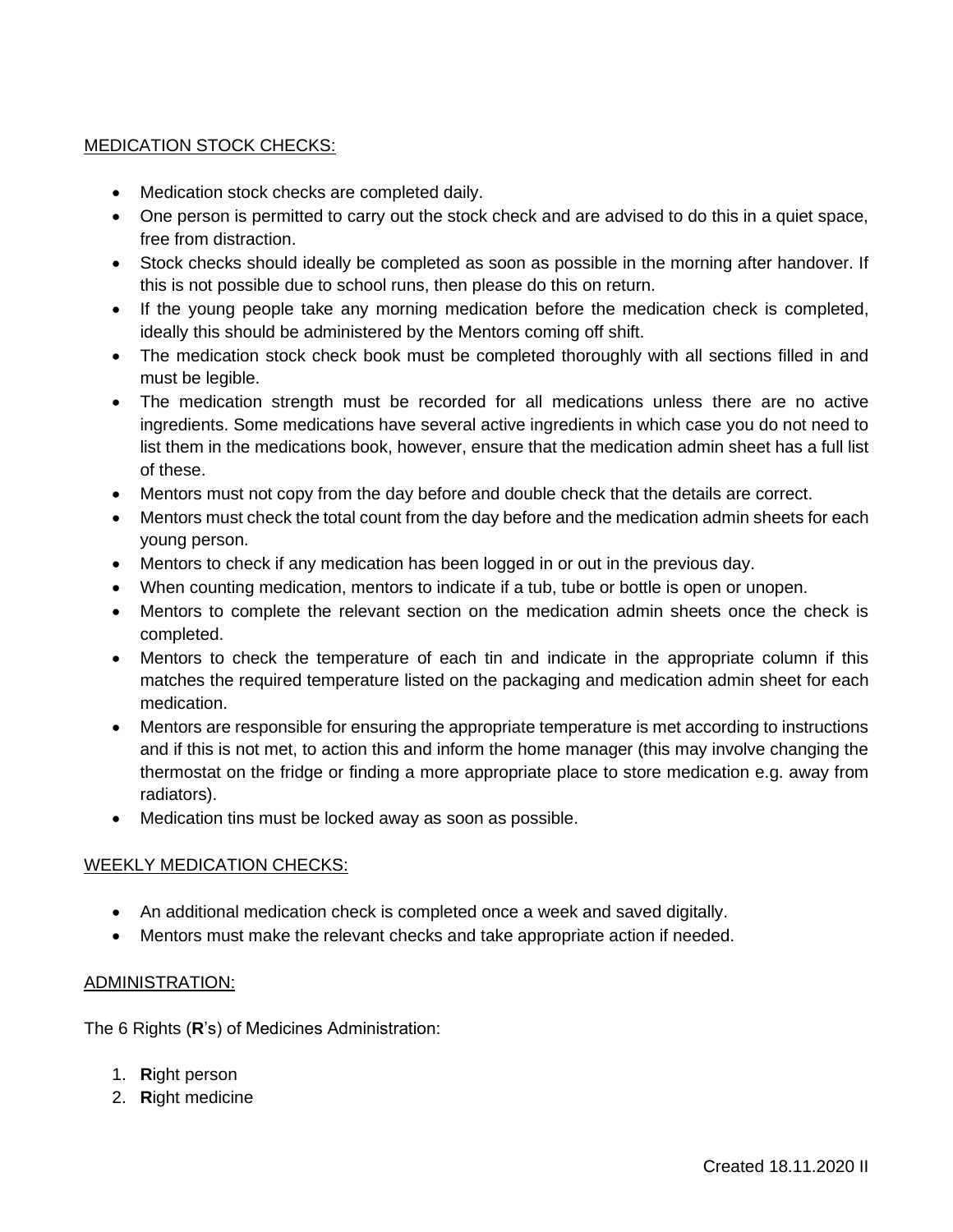# MEDICATION STOCK CHECKS:

- Medication stock checks are completed daily.
- One person is permitted to carry out the stock check and are advised to do this in a quiet space, free from distraction.
- Stock checks should ideally be completed as soon as possible in the morning after handover. If this is not possible due to school runs, then please do this on return.
- If the young people take any morning medication before the medication check is completed, ideally this should be administered by the Mentors coming off shift.
- The medication stock check book must be completed thoroughly with all sections filled in and must be legible.
- The medication strength must be recorded for all medications unless there are no active ingredients. Some medications have several active ingredients in which case you do not need to list them in the medications book, however, ensure that the medication admin sheet has a full list of these.
- Mentors must not copy from the day before and double check that the details are correct.
- Mentors must check the total count from the day before and the medication admin sheets for each young person.
- Mentors to check if any medication has been logged in or out in the previous day.
- When counting medication, mentors to indicate if a tub, tube or bottle is open or unopen.
- Mentors to complete the relevant section on the medication admin sheets once the check is completed.
- Mentors to check the temperature of each tin and indicate in the appropriate column if this matches the required temperature listed on the packaging and medication admin sheet for each medication.
- Mentors are responsible for ensuring the appropriate temperature is met according to instructions and if this is not met, to action this and inform the home manager (this may involve changing the thermostat on the fridge or finding a more appropriate place to store medication e.g. away from radiators).
- Medication tins must be locked away as soon as possible.

#### WEEKLY MEDICATION CHECKS:

- An additional medication check is completed once a week and saved digitally.
- Mentors must make the relevant checks and take appropriate action if needed.

#### ADMINISTRATION:

The 6 Rights (**R**'s) of Medicines Administration:

- 1. **R**ight person
- 2. **R**ight medicine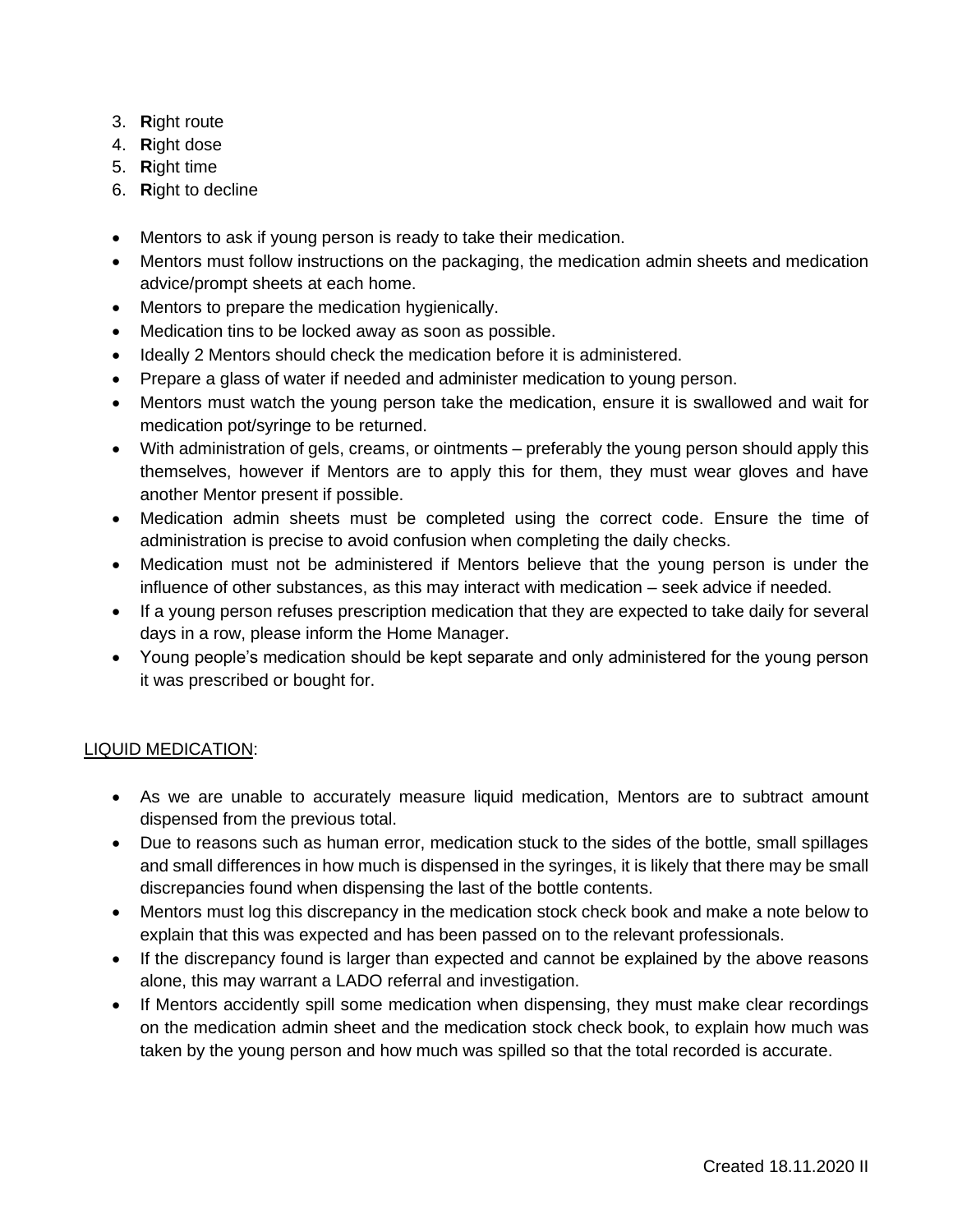- 3. **R**ight route
- 4. **R**ight dose
- 5. **R**ight time
- 6. **R**ight to decline
- Mentors to ask if young person is ready to take their medication.
- Mentors must follow instructions on the packaging, the medication admin sheets and medication advice/prompt sheets at each home.
- Mentors to prepare the medication hygienically.
- Medication tins to be locked away as soon as possible.
- Ideally 2 Mentors should check the medication before it is administered.
- Prepare a glass of water if needed and administer medication to young person.
- Mentors must watch the young person take the medication, ensure it is swallowed and wait for medication pot/syringe to be returned.
- With administration of gels, creams, or ointments preferably the young person should apply this themselves, however if Mentors are to apply this for them, they must wear gloves and have another Mentor present if possible.
- Medication admin sheets must be completed using the correct code. Ensure the time of administration is precise to avoid confusion when completing the daily checks.
- Medication must not be administered if Mentors believe that the young person is under the influence of other substances, as this may interact with medication – seek advice if needed.
- If a young person refuses prescription medication that they are expected to take daily for several days in a row, please inform the Home Manager.
- Young people's medication should be kept separate and only administered for the young person it was prescribed or bought for.

# LIQUID MEDICATION:

- As we are unable to accurately measure liquid medication, Mentors are to subtract amount dispensed from the previous total.
- Due to reasons such as human error, medication stuck to the sides of the bottle, small spillages and small differences in how much is dispensed in the syringes, it is likely that there may be small discrepancies found when dispensing the last of the bottle contents.
- Mentors must log this discrepancy in the medication stock check book and make a note below to explain that this was expected and has been passed on to the relevant professionals.
- If the discrepancy found is larger than expected and cannot be explained by the above reasons alone, this may warrant a LADO referral and investigation.
- If Mentors accidently spill some medication when dispensing, they must make clear recordings on the medication admin sheet and the medication stock check book, to explain how much was taken by the young person and how much was spilled so that the total recorded is accurate.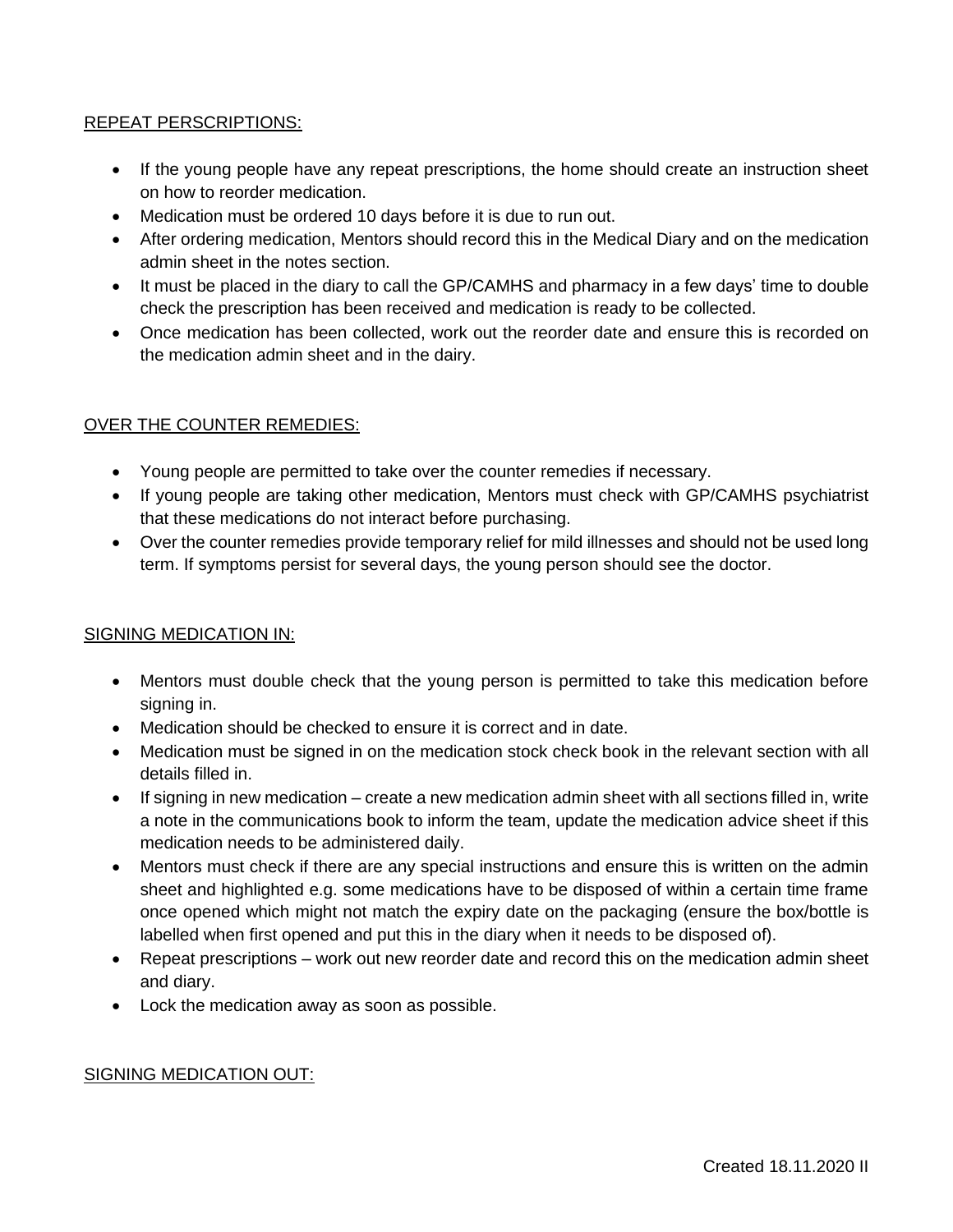# REPEAT PERSCRIPTIONS:

- If the young people have any repeat prescriptions, the home should create an instruction sheet on how to reorder medication.
- Medication must be ordered 10 days before it is due to run out.
- After ordering medication, Mentors should record this in the Medical Diary and on the medication admin sheet in the notes section.
- It must be placed in the diary to call the GP/CAMHS and pharmacy in a few days' time to double check the prescription has been received and medication is ready to be collected.
- Once medication has been collected, work out the reorder date and ensure this is recorded on the medication admin sheet and in the dairy.

# OVER THE COUNTER REMEDIES:

- Young people are permitted to take over the counter remedies if necessary.
- If young people are taking other medication, Mentors must check with GP/CAMHS psychiatrist that these medications do not interact before purchasing.
- Over the counter remedies provide temporary relief for mild illnesses and should not be used long term. If symptoms persist for several days, the young person should see the doctor.

#### SIGNING MEDICATION IN:

- Mentors must double check that the young person is permitted to take this medication before signing in.
- Medication should be checked to ensure it is correct and in date.
- Medication must be signed in on the medication stock check book in the relevant section with all details filled in.
- If signing in new medication create a new medication admin sheet with all sections filled in, write a note in the communications book to inform the team, update the medication advice sheet if this medication needs to be administered daily.
- Mentors must check if there are any special instructions and ensure this is written on the admin sheet and highlighted e.g. some medications have to be disposed of within a certain time frame once opened which might not match the expiry date on the packaging (ensure the box/bottle is labelled when first opened and put this in the diary when it needs to be disposed of).
- Repeat prescriptions work out new reorder date and record this on the medication admin sheet and diary.
- Lock the medication away as soon as possible.

#### SIGNING MEDICATION OUT: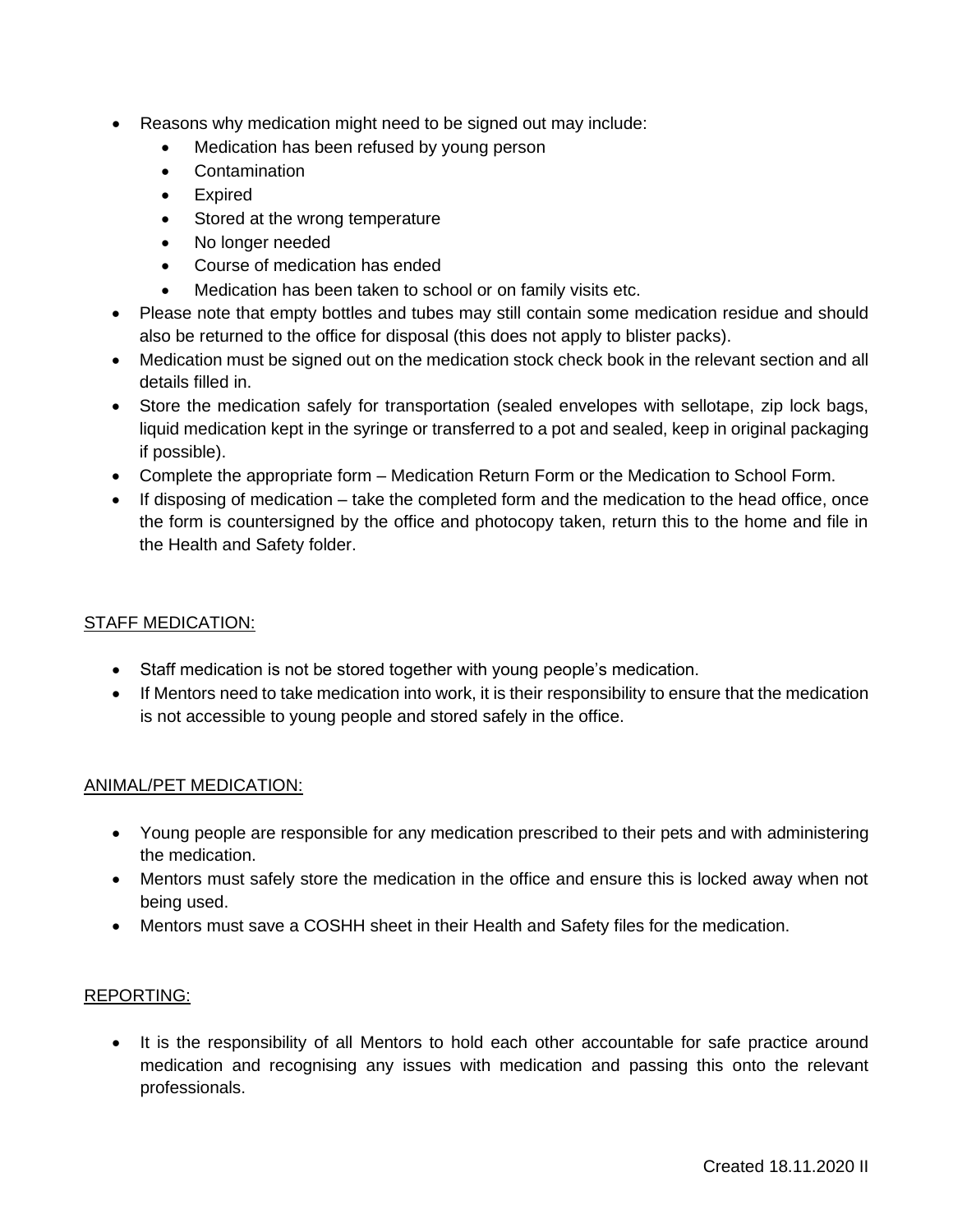- Reasons why medication might need to be signed out may include:
	- Medication has been refused by young person
	- Contamination
	- Expired
	- Stored at the wrong temperature
	- No longer needed
	- Course of medication has ended
	- Medication has been taken to school or on family visits etc.
- Please note that empty bottles and tubes may still contain some medication residue and should also be returned to the office for disposal (this does not apply to blister packs).
- Medication must be signed out on the medication stock check book in the relevant section and all details filled in.
- Store the medication safely for transportation (sealed envelopes with sellotape, zip lock bags, liquid medication kept in the syringe or transferred to a pot and sealed, keep in original packaging if possible).
- Complete the appropriate form Medication Return Form or the Medication to School Form.
- If disposing of medication take the completed form and the medication to the head office, once the form is countersigned by the office and photocopy taken, return this to the home and file in the Health and Safety folder.

# STAFF MEDICATION:

- Staff medication is not be stored together with young people's medication.
- If Mentors need to take medication into work, it is their responsibility to ensure that the medication is not accessible to young people and stored safely in the office.

#### ANIMAL/PET MEDICATION:

- Young people are responsible for any medication prescribed to their pets and with administering the medication.
- Mentors must safely store the medication in the office and ensure this is locked away when not being used.
- Mentors must save a COSHH sheet in their Health and Safety files for the medication.

#### REPORTING:

• It is the responsibility of all Mentors to hold each other accountable for safe practice around medication and recognising any issues with medication and passing this onto the relevant professionals.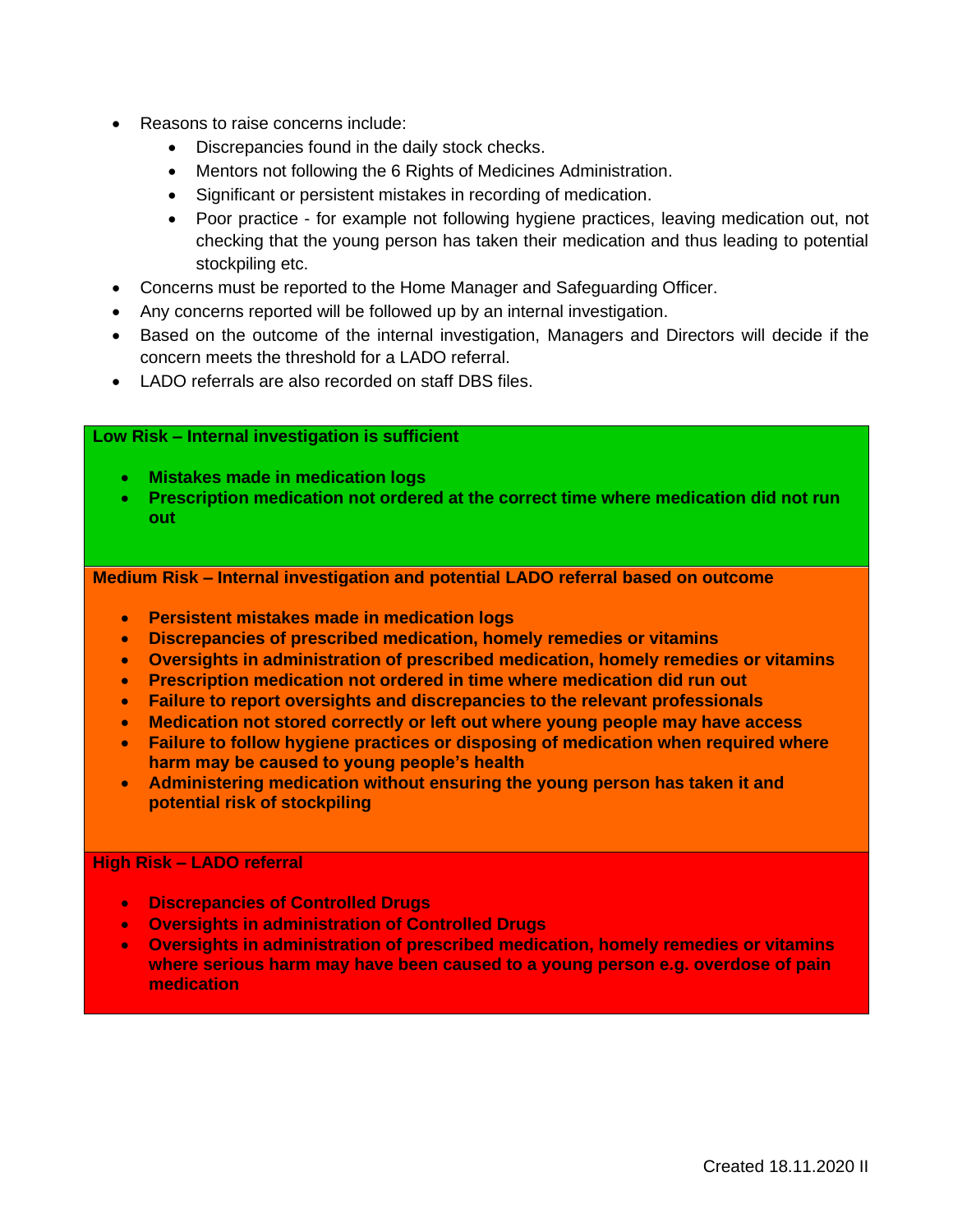- Reasons to raise concerns include:
	- Discrepancies found in the daily stock checks.
	- Mentors not following the 6 Rights of Medicines Administration.
	- Significant or persistent mistakes in recording of medication.
	- Poor practice for example not following hygiene practices, leaving medication out, not checking that the young person has taken their medication and thus leading to potential stockpiling etc.
- Concerns must be reported to the Home Manager and Safeguarding Officer.
- Any concerns reported will be followed up by an internal investigation.
- Based on the outcome of the internal investigation, Managers and Directors will decide if the concern meets the threshold for a LADO referral.
- LADO referrals are also recorded on staff DBS files.

#### **Low Risk – Internal investigation is sufficient**

- **Mistakes made in medication logs**
- **Prescription medication not ordered at the correct time where medication did not run out**

**Medium Risk – Internal investigation and potential LADO referral based on outcome** 

- **Persistent mistakes made in medication logs**
- **Discrepancies of prescribed medication, homely remedies or vitamins**
- **Oversights in administration of prescribed medication, homely remedies or vitamins**
- **Prescription medication not ordered in time where medication did run out**
- **Failure to report oversights and discrepancies to the relevant professionals**
- **Medication not stored correctly or left out where young people may have access**
- **Failure to follow hygiene practices or disposing of medication when required where harm may be caused to young people's health**
- **Administering medication without ensuring the young person has taken it and potential risk of stockpiling**

#### **High Risk – LADO referral**

- **Discrepancies of Controlled Drugs**
- **Oversights in administration of Controlled Drugs**
- **Oversights in administration of prescribed medication, homely remedies or vitamins where serious harm may have been caused to a young person e.g. overdose of pain medication**